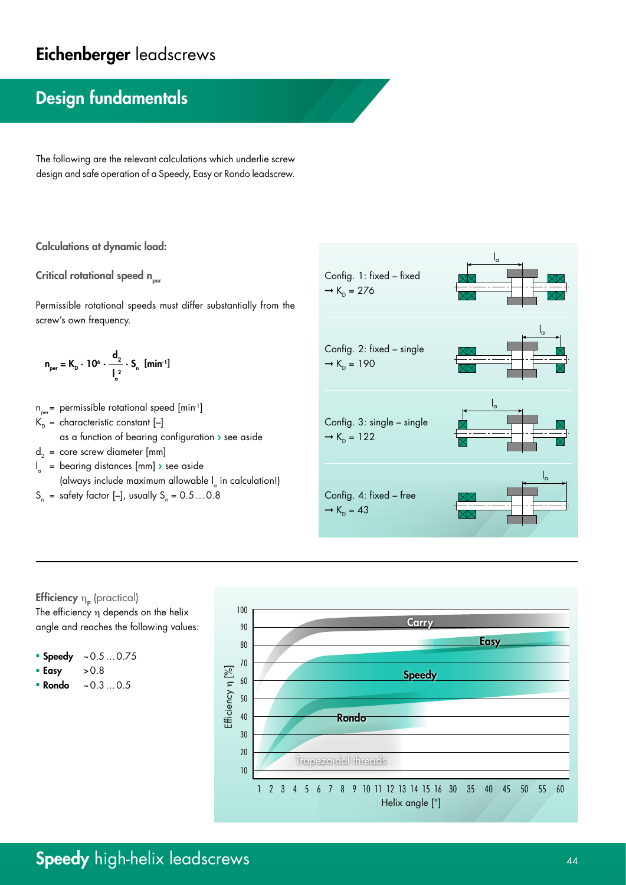# Eichenberger leadscrews

## Design fundamentals

The following are the relevant calculations which underlie screw design and safe operation of a Speedy, Easy or Rondo leadscrew.

### Calculations at dynamic load:

Critical rotational speed  $n_{per}$ 

Permissible rotational speeds must differ substantially from the screw's own frequency.

$$
n_{per} = K_{D} \cdot 10^{6} \cdot \frac{d_2}{l_a^2} \cdot S_{n} \text{ [min}^{-1]}
$$

 $n_{per}$  permissible rotational speed [min<sup>-1</sup>]  $K_p =$  characteristic constant  $[-]$ 

- as a function of bearing configuration › see aside
- $d_2$  = core screw diameter [mm]
- l <sup>a</sup> = bearing distances [mm] › see aside (always include maximum allowable  $I_{a}$  in calculation!)
- $S_n$  = safety factor [–], usually  $S_n = 0.5...0.8$





- Speedy  $~\sim 0.5...0.75$
- $\text{Easy}$   $>0.8$
- Rondo  $~\sim 0.3...0.5$